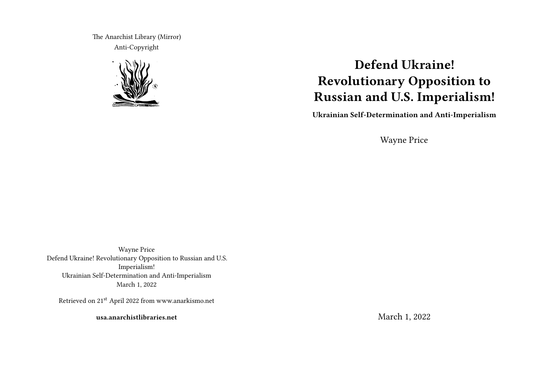The Anarchist Library (Mirror) Anti-Copyright



# **Defend Ukraine! Revolutionary Opposition to Russian and U.S. Imperialism!**

**Ukrainian Self-Determination and Anti-Imperialism**

Wayne Price

Wayne Price Defend Ukraine! Revolutionary Opposition to Russian and U.S. Imperialism! Ukrainian Self-Determination and Anti-Imperialism March 1, 2022

Retrieved on 21st April 2022 from www.anarkismo.net

**usa.anarchistlibraries.net**

March 1, 2022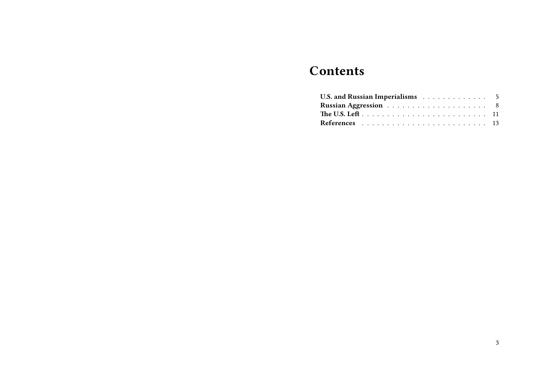## **Contents**

| U.S. and Russian Imperialisms 5 |  |  |  |  |  |  |  |
|---------------------------------|--|--|--|--|--|--|--|
|                                 |  |  |  |  |  |  |  |
|                                 |  |  |  |  |  |  |  |
|                                 |  |  |  |  |  |  |  |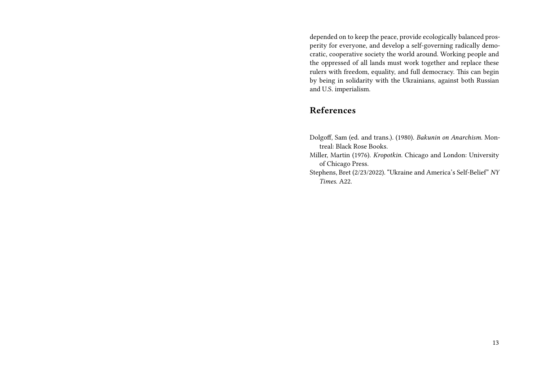depended on to keep the peace, provide ecologically balanced prosperity for everyone, and develop a self-governing radically democratic, cooperative society the world around. Working people and the oppressed of all lands must work together and replace these rulers with freedom, equality, and full democracy. This can begin by being in solidarity with the Ukrainians, against both Russian and U.S. imperialism.

### **References**

- Dolgoff, Sam (ed. and trans.). (1980). *Bakunin on Anarchism*. Montreal: Black Rose Books.
- Miller, Martin (1976). *Kropotkin*. Chicago and London: University of Chicago Press.
- Stephens, Bret (2/23/2022). "Ukraine and America's Self-Belief" *NY Times*. A22.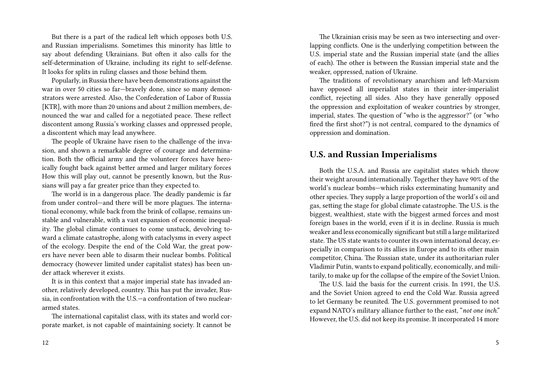But there is a part of the radical left which opposes both U.S. and Russian imperialisms. Sometimes this minority has little to say about defending Ukrainians. But often it also calls for the self-determination of Ukraine, including its right to self-defense. It looks for splits in ruling classes and those behind them.

Popularly, in Russia there have been demonstrations against the war in over 50 cities so far—bravely done, since so many demonstrators were arrested. Also, the Confederation of Labor of Russia [KTR], with more than 20 unions and about 2 million members, denounced the war and called for a negotiated peace. These reflect discontent among Russia's working classes and oppressed people, a discontent which may lead anywhere.

The people of Ukraine have risen to the challenge of the invasion, and shown a remarkable degree of courage and determination. Both the official army and the volunteer forces have heroically fought back against better armed and larger military forces How this will play out, cannot be presently known, but the Russians will pay a far greater price than they expected to.

The world is in a dangerous place. The deadly pandemic is far from under control—and there will be more plagues. The international economy, while back from the brink of collapse, remains unstable and vulnerable, with a vast expansion of economic inequality. The global climate continues to come unstuck, devolving toward a climate catastrophe, along with cataclysms in every aspect of the ecology. Despite the end of the Cold War, the great powers have never been able to disarm their nuclear bombs. Political democracy (however limited under capitalist states) has been under attack wherever it exists.

It is in this context that a major imperial state has invaded another, relatively developed, country. This has put the invader, Russia, in confrontation with the U.S.—a confrontation of two nucleararmed states.

The international capitalist class, with its states and world corporate market, is not capable of maintaining society. It cannot be

The Ukrainian crisis may be seen as two intersecting and overlapping conflicts. One is the underlying competition between the U.S. imperial state and the Russian imperial state (and the allies of each). The other is between the Russian imperial state and the weaker, oppressed, nation of Ukraine.

The traditions of revolutionary anarchism and left-Marxism have opposed all imperialist states in their inter-imperialist conflict, rejecting all sides. Also they have generally opposed the oppression and exploitation of weaker countries by stronger, imperial, states. The question of "who is the aggressor?" (or "who fired the first shot?") is not central, compared to the dynamics of oppression and domination.

#### **U.S. and Russian Imperialisms**

Both the U.S.A. and Russia are capitalist states which throw their weight around internationally. Together they have 90% of the world's nuclear bombs—which risks exterminating humanity and other species. They supply a large proportion of the world's oil and gas, setting the stage for global climate catastrophe. The U.S. is the biggest, wealthiest, state with the biggest armed forces and most foreign bases in the world, even if it is in decline. Russia is much weaker and less economically significant but still a large militarized state. The US state wants to counter its own international decay, especially in comparison to its allies in Europe and to its other main competitor, China. The Russian state, under its authoritarian ruler Vladimir Putin, wants to expand politically, economically, and militarily, to make up for the collapse of the empire of the Soviet Union.

The U.S. laid the basis for the current crisis. In 1991, the U.S. and the Soviet Union agreed to end the Cold War. Russia agreed to let Germany be reunited. The U.S. government promised to not expand NATO's military alliance further to the east, "*not one inch*." However, the U.S. did not keep its promise. It incorporated 14 more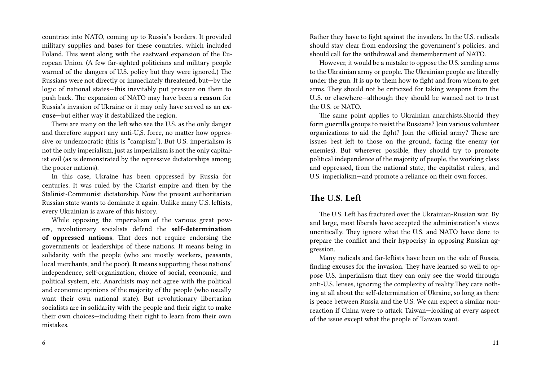countries into NATO, coming up to Russia's borders. It provided military supplies and bases for these countries, which included Poland. This went along with the eastward expansion of the European Union. (A few far-sighted politicians and military people warned of the dangers of U.S. policy but they were ignored.) The Russians were not directly or immediately threatened, but—by the logic of national states—this inevitably put pressure on them to push back. The expansion of NATO may have been a **reason** for Russia's invasion of Ukraine or it may only have served as an **excuse**—but either way it destabilized the region.

There are many on the left who see the U.S. as the only danger and therefore support any anti-U,S. force, no matter how oppressive or undemocratic (this is "campism"). But U.S. imperialism is not the only imperialism, just as imperialism is not the only capitalist evil (as is demonstrated by the repressive dictatorships among the poorer nations).

In this case, Ukraine has been oppressed by Russia for centuries. It was ruled by the Czarist empire and then by the Stalinist-Communist dictatorship. Now the present authoritarian Russian state wants to dominate it again. Unlike many U.S. leftists, every Ukrainian is aware of this history.

While opposing the imperialism of the various great powers, revolutionary socialists defend the **self-determination of oppressed nations**. That does not require endorsing the governments or leaderships of these nations. It means being in solidarity with the people (who are mostly workers, peasants, local merchants, and the poor). It means supporting these nations' independence, self-organization, choice of social, economic, and political system, etc. Anarchists may not agree with the political and economic opinions of the majority of the people (who usually want their own national state). But revolutionary libertarian socialists are in solidarity with the people and their right to make their own choices—including their right to learn from their own mistakes.

Rather they have to fight against the invaders. In the U.S. radicals should stay clear from endorsing the government's policies, and should call for the withdrawal and dismemberment of NATO.

However, it would be a mistake to oppose the U.S. sending arms to the Ukrainian army or people. The Ukrainian people are literally under the gun. It is up to them how to fight and from whom to get arms. They should not be criticized for taking weapons from the U..S. or elsewhere—although they should be warned not to trust the U.S. or NATO.

The same point applies to Ukrainian anarchists.Should they form guerrilla groups to resist the Russians? Join various volunteer organizations to aid the fight? Join the official army? These are issues best left to those on the ground, facing the enemy (or enemies). But wherever possible, they should try to promote political independence of the majority of people, the working class and oppressed, from the national state, the capitalist rulers, and U.S. imperialism—and promote a reliance on their own forces.

#### **The U.S. Left**

The U.S. Left has fractured over the Ukrainian-Russian war. By and large, most liberals have accepted the administration's views uncritically. They ignore what the U.S. and NATO have done to prepare the conflict and their hypocrisy in opposing Russian aggression.

Many radicals and far-leftists have been on the side of Russia, finding excuses for the invasion. They have learned so well to oppose U.S. imperialism that they can only see the world through anti-U.S. lenses, ignoring the complexity of reality.They care nothing at all about the self-determination of Ukraine, so long as there is peace between Russia and the U.S. We can expect a similar nonreaction if China were to attack Taiwan—looking at every aspect of the issue except what the people of Taiwan want.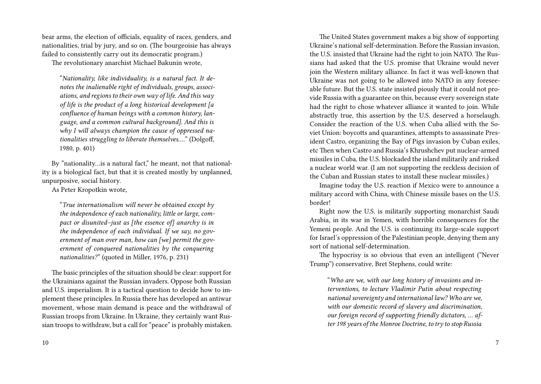bear arms, the election of officials, equality of races, genders, and nationalities, trial by jury, and so on. (The bourgeoisie has always failed to consistently carry out its democratic program.)

The revolutionary anarchist Michael Bakunin wrote,

"*Nationality, like individuality, is a natural fact. It denotes the inalienable right of individuals, groups, associations, and regions to their own way of life. And this way of life is the product of a long historical development [a confluence of human beings with a common history, language, and a common cultural background]. And this is why I will always champion the cause of oppressed nationalities struggling to liberate themselves….*" (Dolgoff, 1980, p. 401)

By "nationality…is a natural fact," he meant, not that nationality is a biological fact, but that it is created mostly by unplanned, unpurposive, social history.

As Peter Kropotkin wrote,

"*True internationalism will never be obtained except by the independence of each nationality, little or large, compact or disunited–just as [the essence of] anarchy is in the independence of each individual. If we say, no government of man over man, how can [we] permit the government of conquered nationalities by the conquering nationalities?*" (quoted in Miller, 1976, p. 231)

The basic principles of the situation should be clear: support for the Ukrainians against the Russian invaders. Oppose both Russian and U.S. imperialism. It is a tactical question to decide how to implement these principles. In Russia there has developed an antiwar movement, whose main demand is peace and the withdrawal of Russian troops from Ukraine. In Ukraine, they certainly want Russian troops to withdraw, but a call for "peace" is probably mistaken.

The United States government makes a big show of supporting Ukraine's national self-determination. Before the Russian invasion, the U.S. insisted that Ukraine had the right to join NATO. The Russians had asked that the U.S. promise that Ukraine would never join the Western military alliance. In fact it was well-known that Ukraine was not going to be allowed into NATO in any foreseeable future. But the U.S. state insisted piously that it could not provide Russia with a guarantee on this, because every sovereign state had the right to chose whatever alliance it wanted to join. While abstractly true, this assertion by the U.S. deserved a horselaugh. Consider the reaction of the U.S. when Cuba allied with the Soviet Union: boycotts and quarantines, attempts to assassinate President Castro, organizing the Bay of Pigs invasion by Cuban exiles, etc Then when Castro and Russia's Khrushchev put nuclear-armed missiles in Cuba, the U.S. blockaded the island militarily and risked a nuclear world war. (I am not supporting the reckless decision of the Cuban and Russian states to install these nuclear missiles.)

Imagine today the U.S. reaction if Mexico were to announce a military accord with China, with Chinese missile bases on the U.S. border!

Right now the U.S. is militarily supporting monarchist Saudi Arabia, in its war in Yemen, with horrible consequences for the Yemeni people. And the U.S. is continuing its large-scale support for Israel's oppression of the Palestinian people, denying them any sort of national self-determination.

The hypocrisy is so obvious that even an intelligent ("Never Trump") conservative, Bret Stephens, could write:

"*Who are we, with our long history of invasions and interventions, to lecture Vladimir Putin about respecting national sovereignty and international law? Who are we, with our domestic record of slavery and discrimination, our foreign record of supporting friendly dictators, … after 198 years of the Monroe Doctrine, to try to stop Russia*